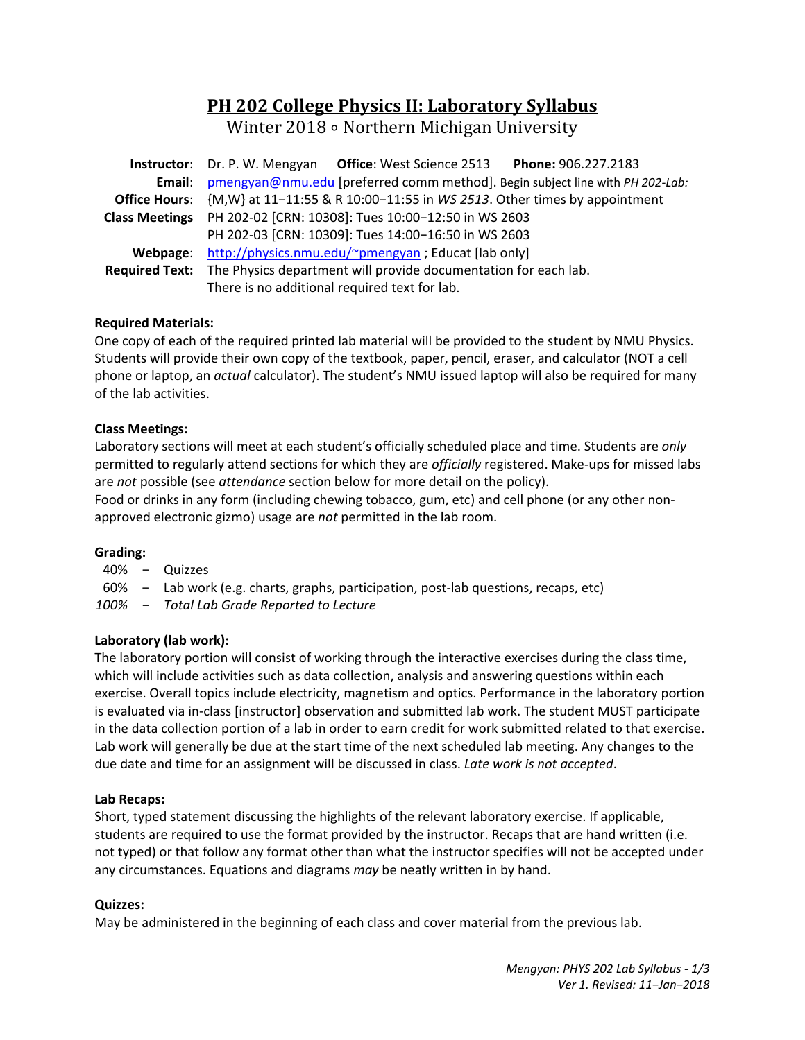# **PH 202 College Physics II: Laboratory Syllabus**

Winter 2018 ∘ Northern Michigan University

|          | <b>Instructor:</b> Dr. P. W. Mengyan Office: West Science 2513<br>Phone: 906.227.2183  |  |  |  |  |  |  |
|----------|----------------------------------------------------------------------------------------|--|--|--|--|--|--|
|          | Email: pmengyan@nmu.edu [preferred comm method]. Begin subject line with PH 202-Lab:   |  |  |  |  |  |  |
|          | Office Hours: {M,W} at 11-11:55 & R 10:00-11:55 in WS 2513. Other times by appointment |  |  |  |  |  |  |
|          | Class Meetings PH 202-02 [CRN: 10308]: Tues 10:00-12:50 in WS 2603                     |  |  |  |  |  |  |
|          | PH 202-03 [CRN: 10309]: Tues 14:00-16:50 in WS 2603                                    |  |  |  |  |  |  |
| Webpage: | http://physics.nmu.edu/~pmengyan ; Educat [lab only]                                   |  |  |  |  |  |  |
|          | Required Text: The Physics department will provide documentation for each lab.         |  |  |  |  |  |  |
|          | There is no additional required text for lab.                                          |  |  |  |  |  |  |

# **Required Materials:**

One copy of each of the required printed lab material will be provided to the student by NMU Physics. Students will provide their own copy of the textbook, paper, pencil, eraser, and calculator (NOT a cell phone or laptop, an *actual* calculator). The student's NMU issued laptop will also be required for many of the lab activities.

# **Class Meetings:**

Laboratory sections will meet at each student's officially scheduled place and time. Students are *only* permitted to regularly attend sections for which they are *officially* registered. Make-ups for missed labs are *not* possible (see *attendance* section below for more detail on the policy). Food or drinks in any form (including chewing tobacco, gum, etc) and cell phone (or any other non‐

approved electronic gizmo) usage are *not* permitted in the lab room.

## **Grading:**

40% − Quizzes

60% − Lab work (e.g. charts, graphs, participation, post‐lab questions, recaps, etc)

*100% − Total Lab Grade Reported to Lecture* 

## **Laboratory (lab work):**

The laboratory portion will consist of working through the interactive exercises during the class time, which will include activities such as data collection, analysis and answering questions within each exercise. Overall topics include electricity, magnetism and optics. Performance in the laboratory portion is evaluated via in‐class [instructor] observation and submitted lab work. The student MUST participate in the data collection portion of a lab in order to earn credit for work submitted related to that exercise. Lab work will generally be due at the start time of the next scheduled lab meeting. Any changes to the due date and time for an assignment will be discussed in class. *Late work is not accepted*.

## **Lab Recaps:**

Short, typed statement discussing the highlights of the relevant laboratory exercise. If applicable, students are required to use the format provided by the instructor. Recaps that are hand written (i.e. not typed) or that follow any format other than what the instructor specifies will not be accepted under any circumstances. Equations and diagrams *may* be neatly written in by hand.

## **Quizzes:**

May be administered in the beginning of each class and cover material from the previous lab.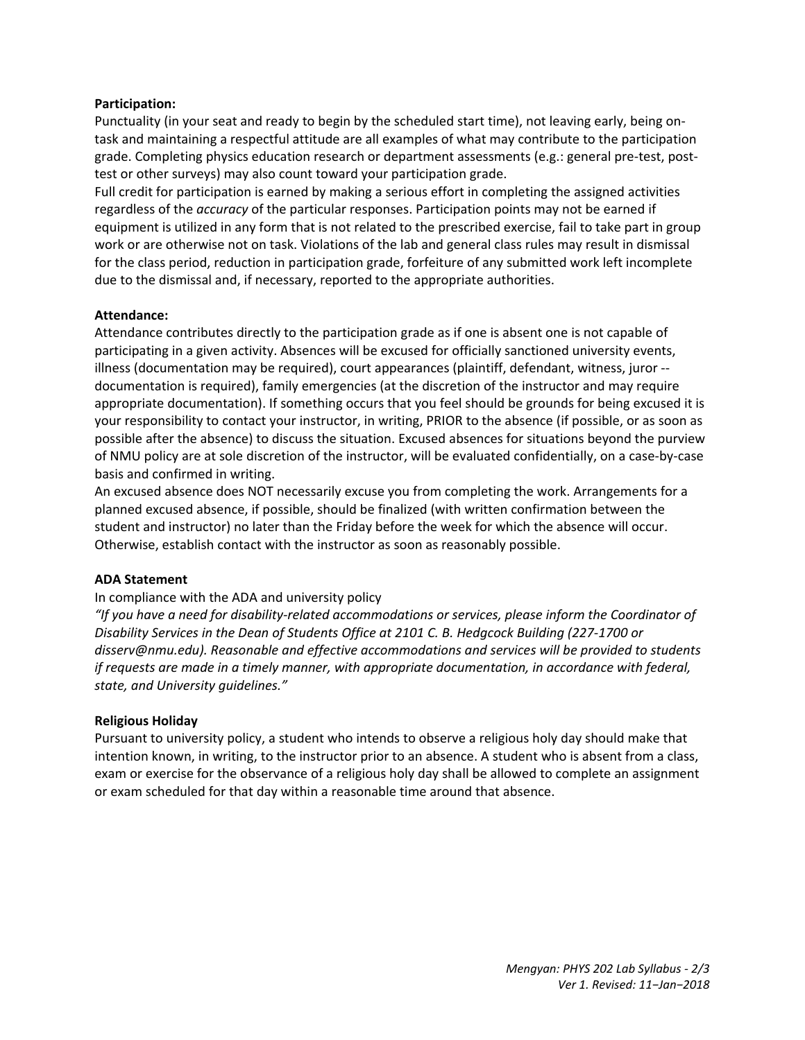## **Participation:**

Punctuality (in your seat and ready to begin by the scheduled start time), not leaving early, being on‐ task and maintaining a respectful attitude are all examples of what may contribute to the participation grade. Completing physics education research or department assessments (e.g.: general pre‐test, post‐ test or other surveys) may also count toward your participation grade.

Full credit for participation is earned by making a serious effort in completing the assigned activities regardless of the *accuracy* of the particular responses. Participation points may not be earned if equipment is utilized in any form that is not related to the prescribed exercise, fail to take part in group work or are otherwise not on task. Violations of the lab and general class rules may result in dismissal for the class period, reduction in participation grade, forfeiture of any submitted work left incomplete due to the dismissal and, if necessary, reported to the appropriate authorities.

## **Attendance:**

Attendance contributes directly to the participation grade as if one is absent one is not capable of participating in a given activity. Absences will be excused for officially sanctioned university events, illness (documentation may be required), court appearances (plaintiff, defendant, witness, juror ‐‐ documentation is required), family emergencies (at the discretion of the instructor and may require appropriate documentation). If something occurs that you feel should be grounds for being excused it is your responsibility to contact your instructor, in writing, PRIOR to the absence (if possible, or as soon as possible after the absence) to discuss the situation. Excused absences for situations beyond the purview of NMU policy are at sole discretion of the instructor, will be evaluated confidentially, on a case‐by‐case basis and confirmed in writing.

An excused absence does NOT necessarily excuse you from completing the work. Arrangements for a planned excused absence, if possible, should be finalized (with written confirmation between the student and instructor) no later than the Friday before the week for which the absence will occur. Otherwise, establish contact with the instructor as soon as reasonably possible.

### **ADA Statement**

### In compliance with the ADA and university policy

*"If you have a need for disability‐related accommodations or services, please inform the Coordinator of Disability Services in the Dean of Students Office at 2101 C. B. Hedgcock Building (227‐1700 or disserv@nmu.edu). Reasonable and effective accommodations and services will be provided to students if requests are made in a timely manner, with appropriate documentation, in accordance with federal, state, and University guidelines."* 

### **Religious Holiday**

Pursuant to university policy, a student who intends to observe a religious holy day should make that intention known, in writing, to the instructor prior to an absence. A student who is absent from a class, exam or exercise for the observance of a religious holy day shall be allowed to complete an assignment or exam scheduled for that day within a reasonable time around that absence.